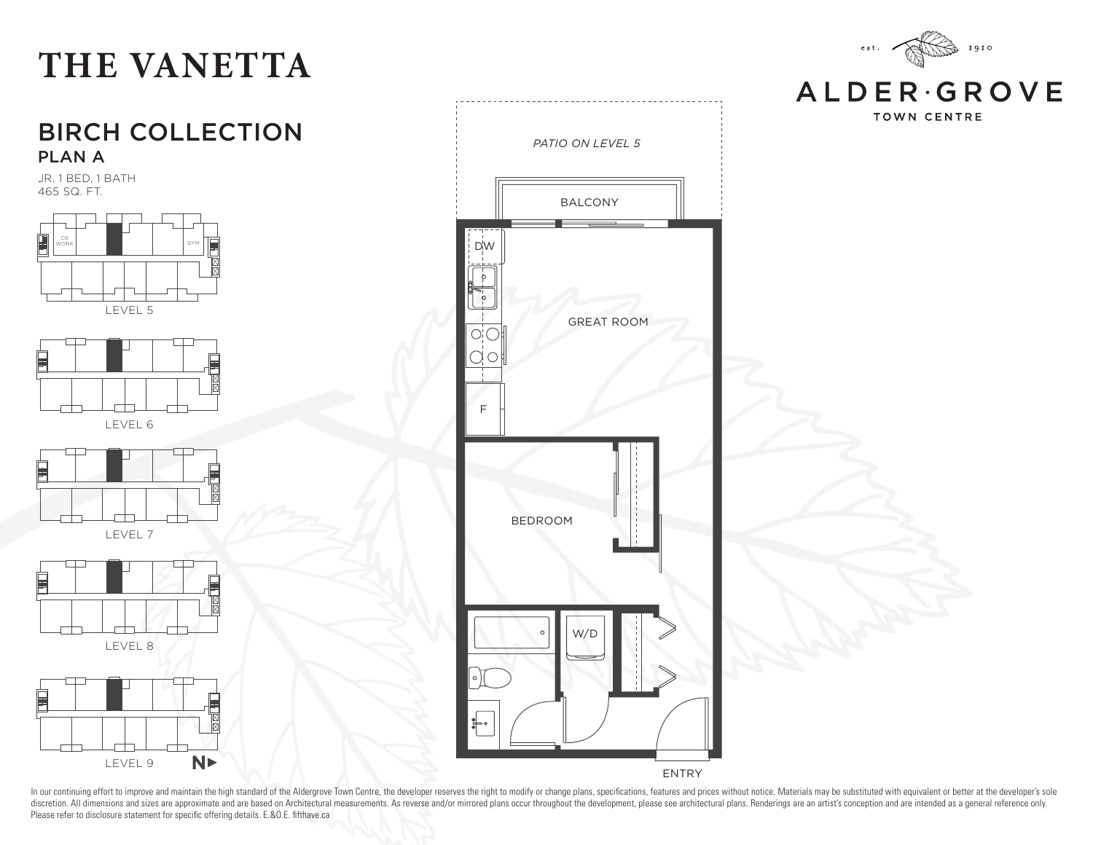#### 1910  $\acute{\text{e}}$  s t .

**ALDER**GROVE **TOWN CENTRE** 



JR. 1 BED, 1 BATH 465 SQ. FT.



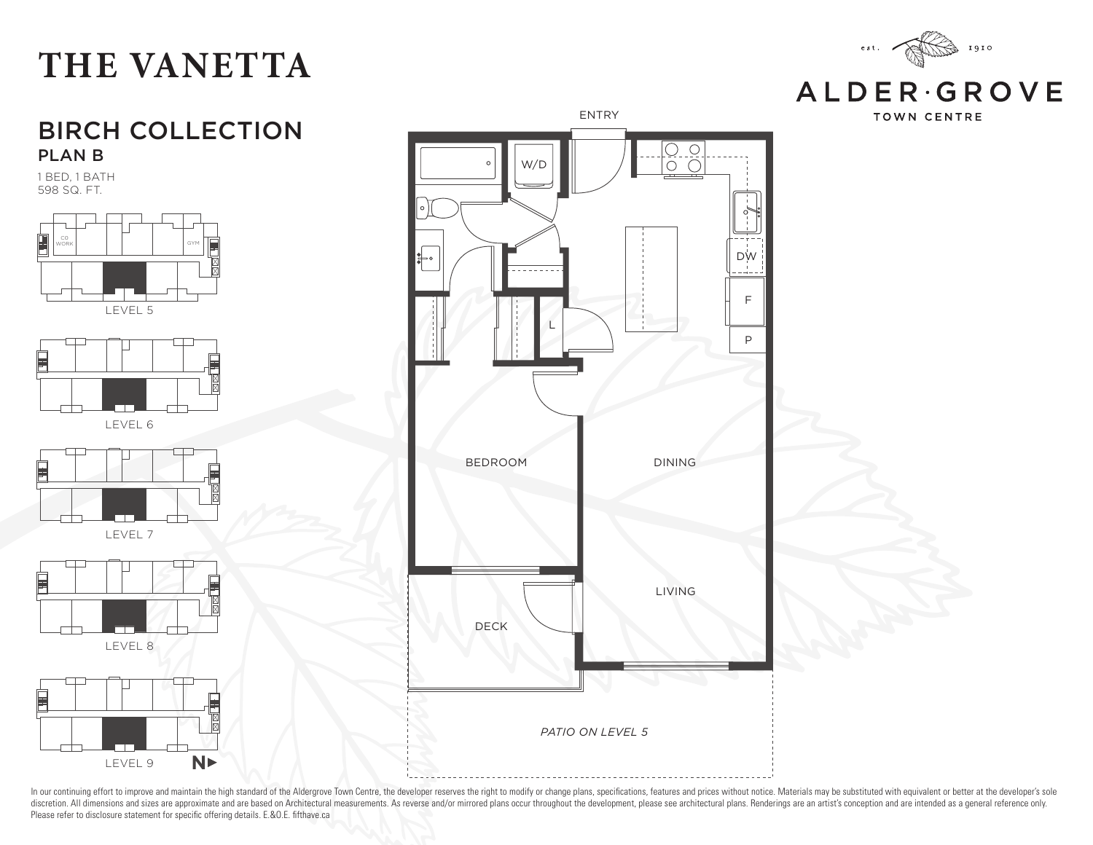#### BIRCH COLLECTION PLAN B

1 BED, 1 BATH 598 SQ. FT.





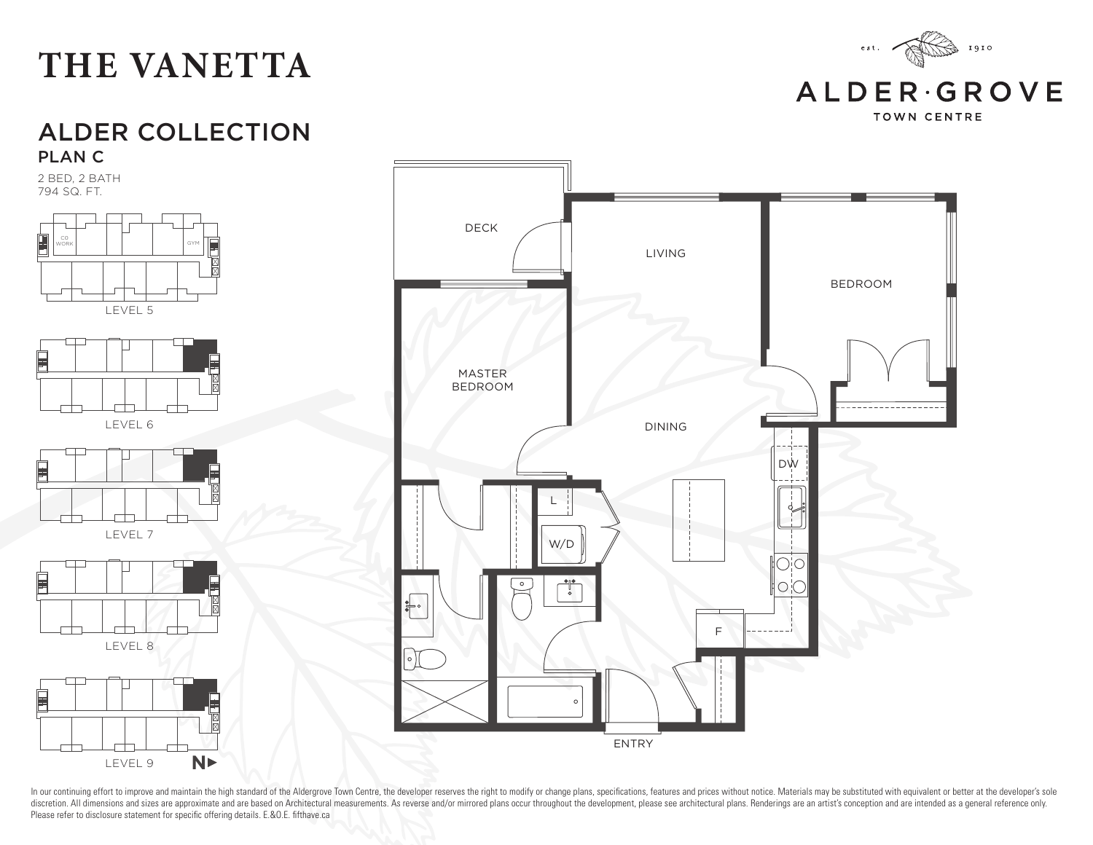

**TOWN CENTRE** 

#### ALDER COLLECTION PLAN C

2 BED, 2 BATH 794 SQ. FT.



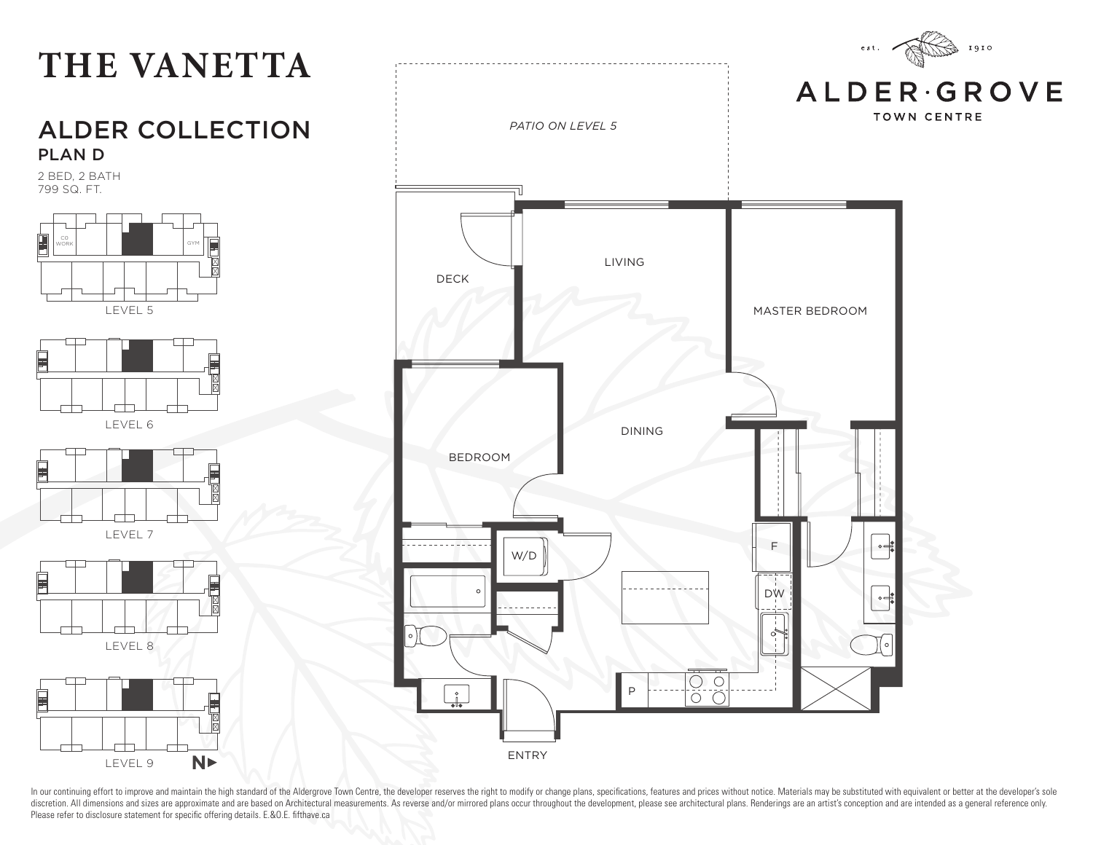# **THE VANETTA** LEVEL 5 LEVEL 6 WORK | | | | | | | | | | | | | GYM ALDER COLLECTION PLAN D 2 BED, 2 BATH 799 SQ. FT.







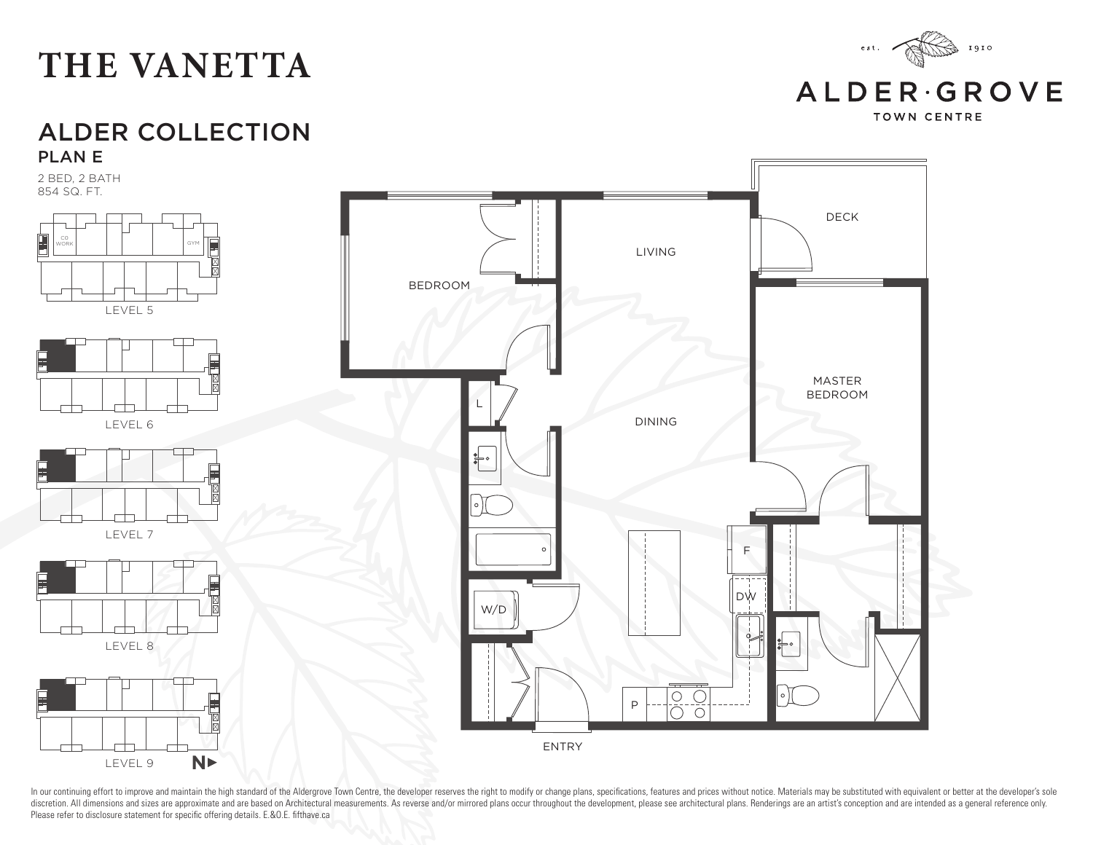#### W/D  $\overline{\phantom{0}}$ LEVEL 8  $\begin{array}{c}\n\hline\n0 & 0 \\
\hline\n0 & 0\n\end{array}$ P F ENTRY  $N$ LEVEL 9

In our continuing effort to improve and maintain the high standard of the Aldergrove Town Centre, the developer reserves the right to modify or change plans, specifications, features and prices without notice. Materials ma discretion. All dimensions and sizes are approximate and are based on Architectural measurements. As reverse and/or mirrored plans occur throughout the development, please see architectural plans. Renderings are an artist' Please refer to disclosure statement for specific offering details. E.&O.E. fifthave.ca

ALDER COLLECTION PLAN E

2 BED, 2 BATH 854 SQ. FT.



#### **THE VANETTA**



**ALDER**GROVE

 $\rm e \; s \; t$  .

 $1910$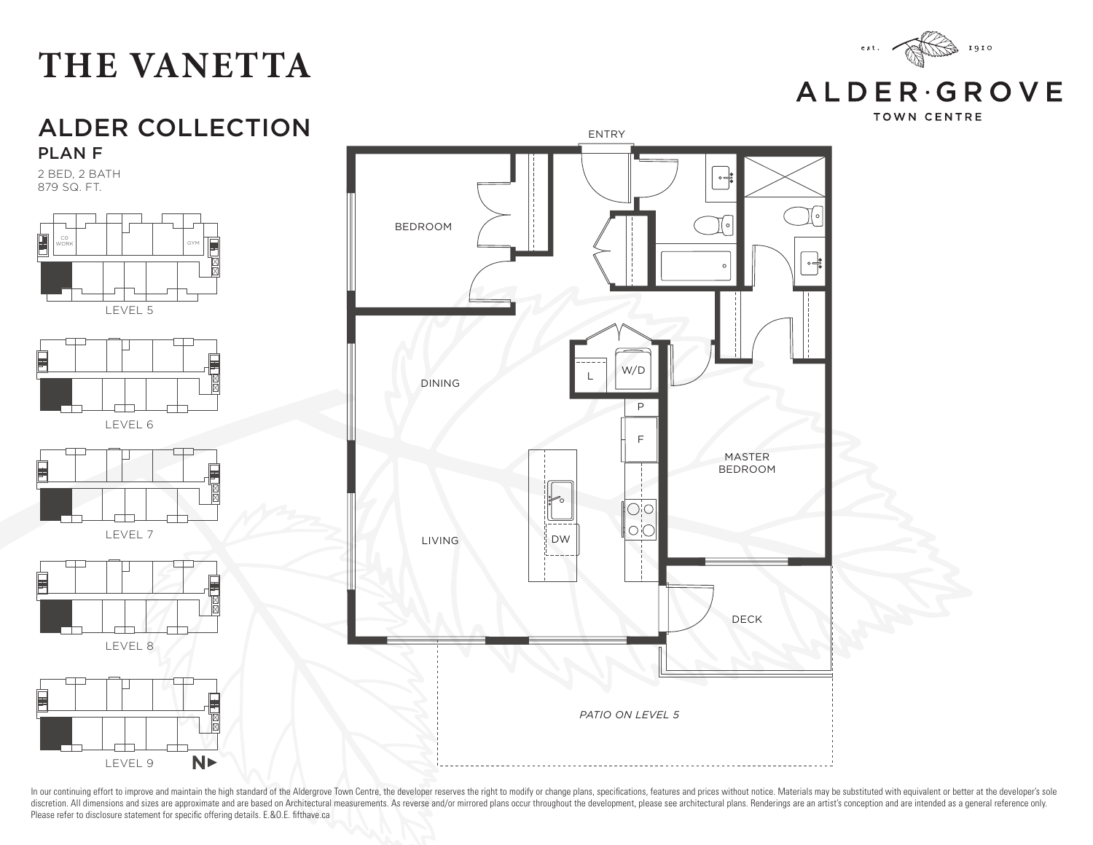

**ALDERGROVE** 

**TOWN CENTRE** 

#### ALDER COLLECTION ENTRY PLAN F

2 BED, 2 BATH 879 SQ. FT.



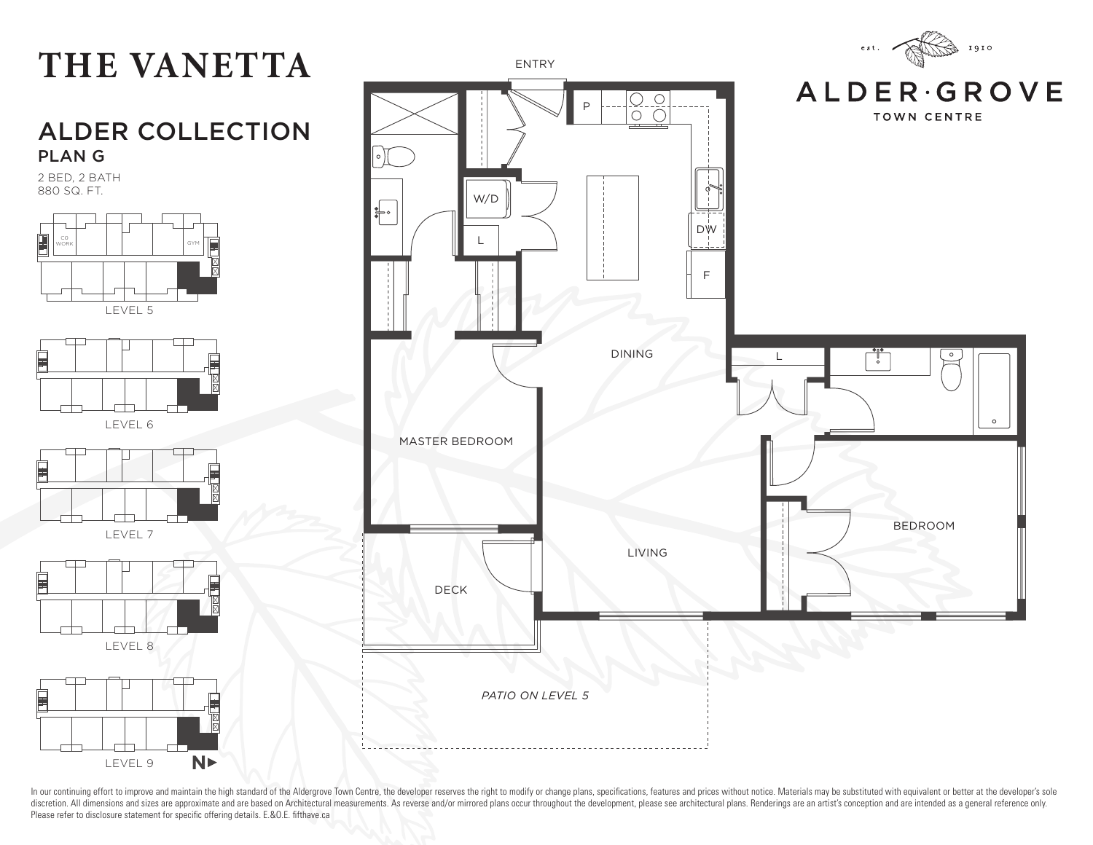

2 BED, 2 BATH 880 SQ. FT.



LEVEL 9

 $N$ 

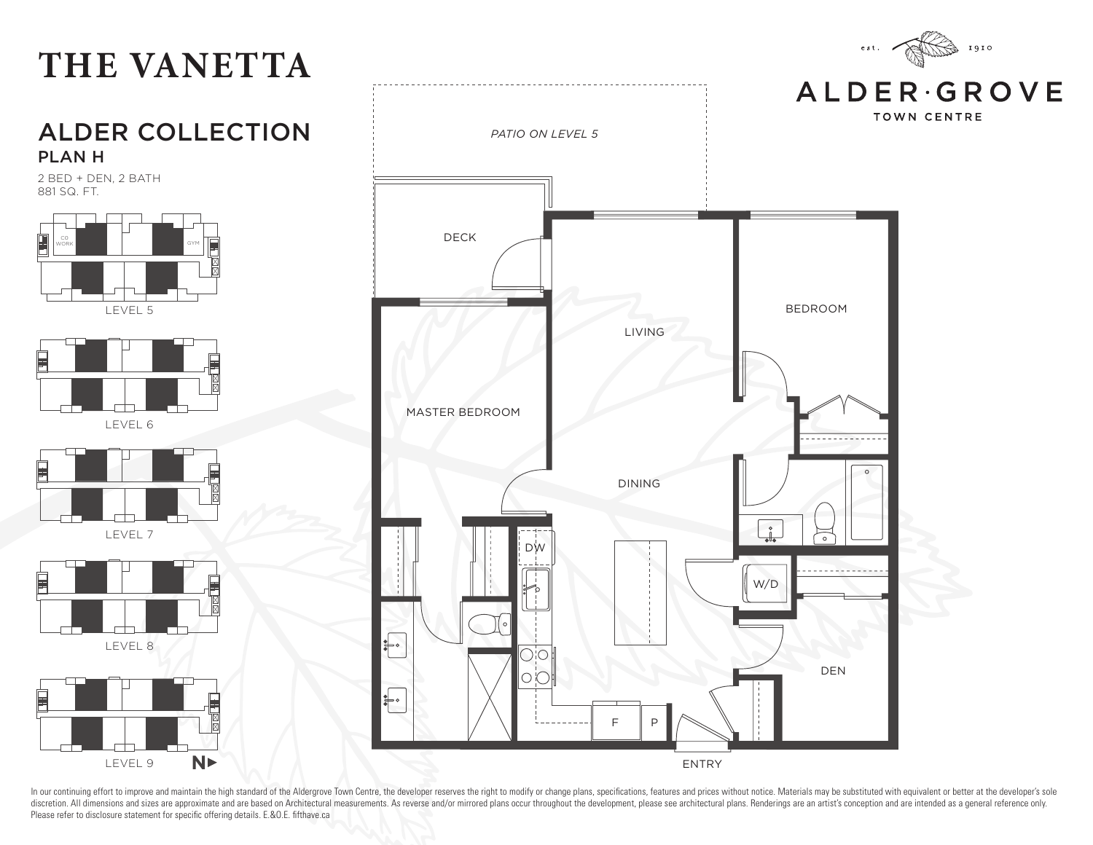

2 BED + DEN, 2 BATH 881 SQ. FT.



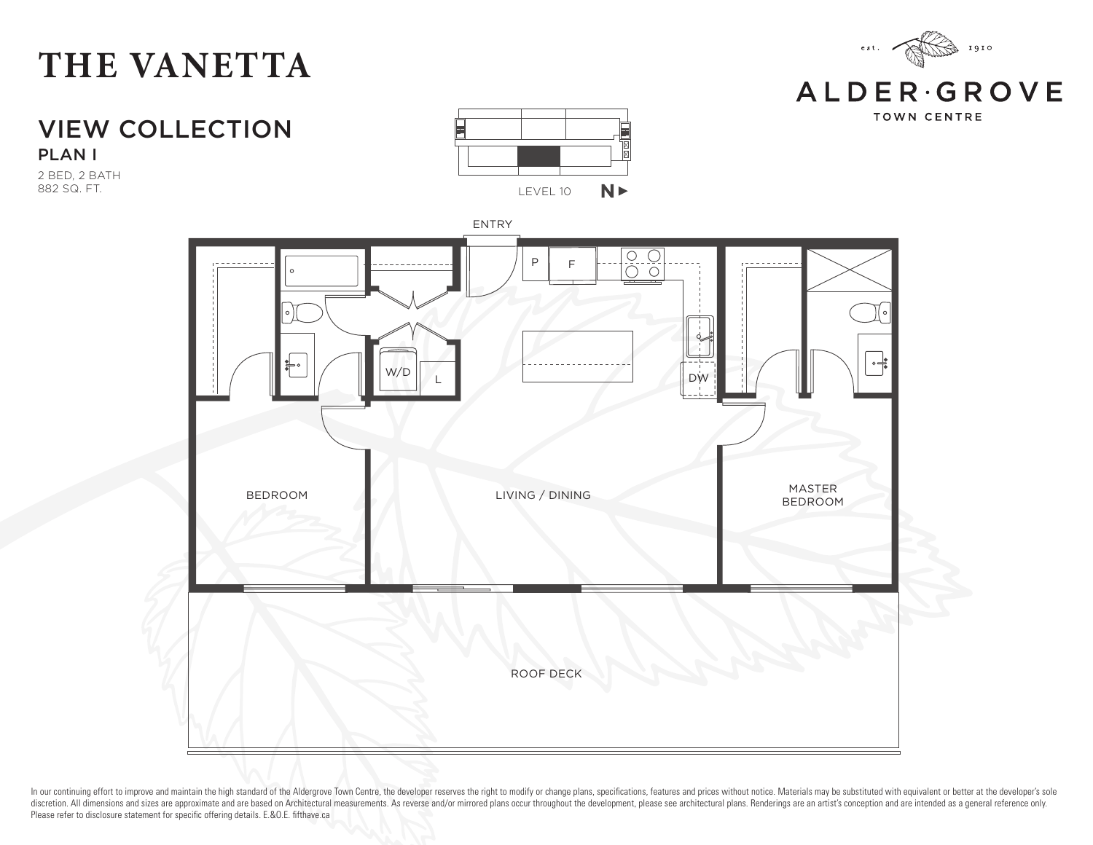

**ALDER**GROVE **TOWN CENTRE** 

VIEW COLLECTION PLAN I

2 BED, 2 BATH 882 SQ. FT.



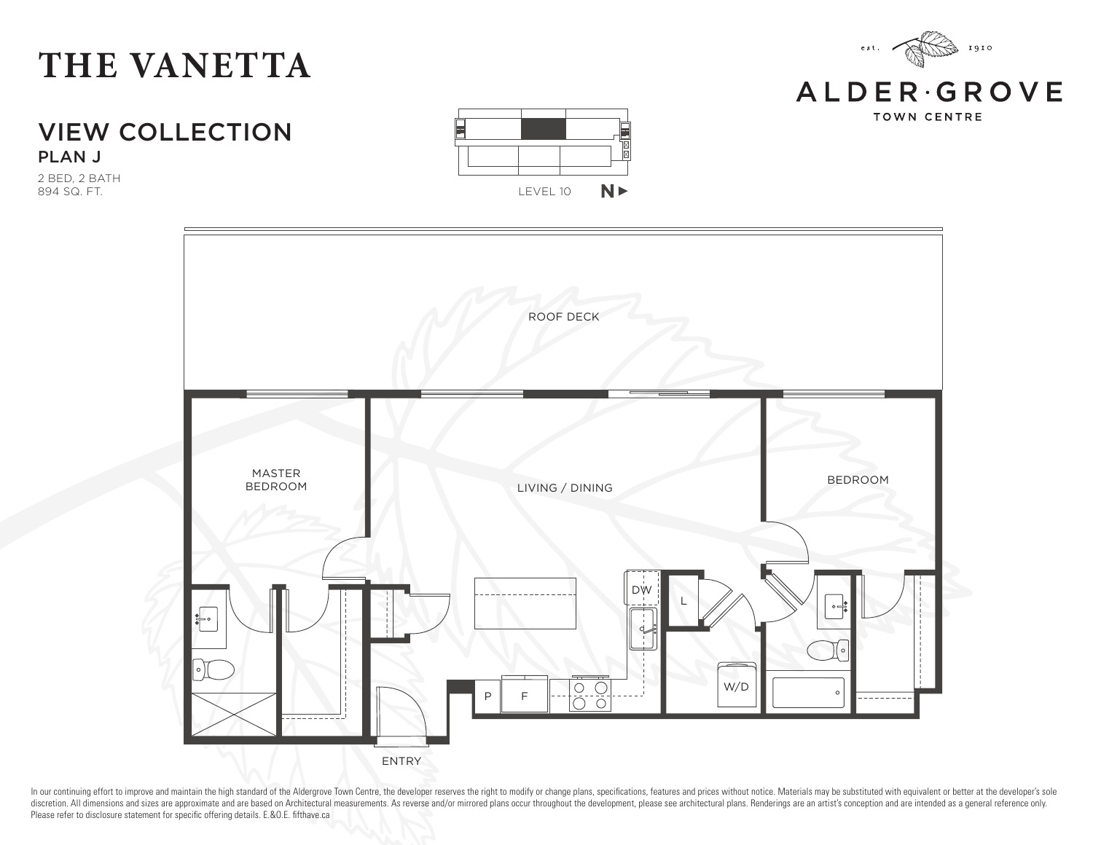#### VIEW COLLECTION PLAN J

2 BED, 2 BATH 894 SQ. FT.





In our continuing effort to improve and maintain the high standard of the Aldergrove Town Centre, the developer reserves the right to modify or change plans, specifications, features and prices without notice. Materials ma discretion. All dimensions and sizes are approximate and are based on Architectural measurements. As reverse and/or mirrored plans occur throughout the development, please see architectural plans. Renderings are an artist' Please refer to disclosure statement for specific offering details. E.&O.E. fifthave.ca



1910

 $\rm e \; s \; t$  .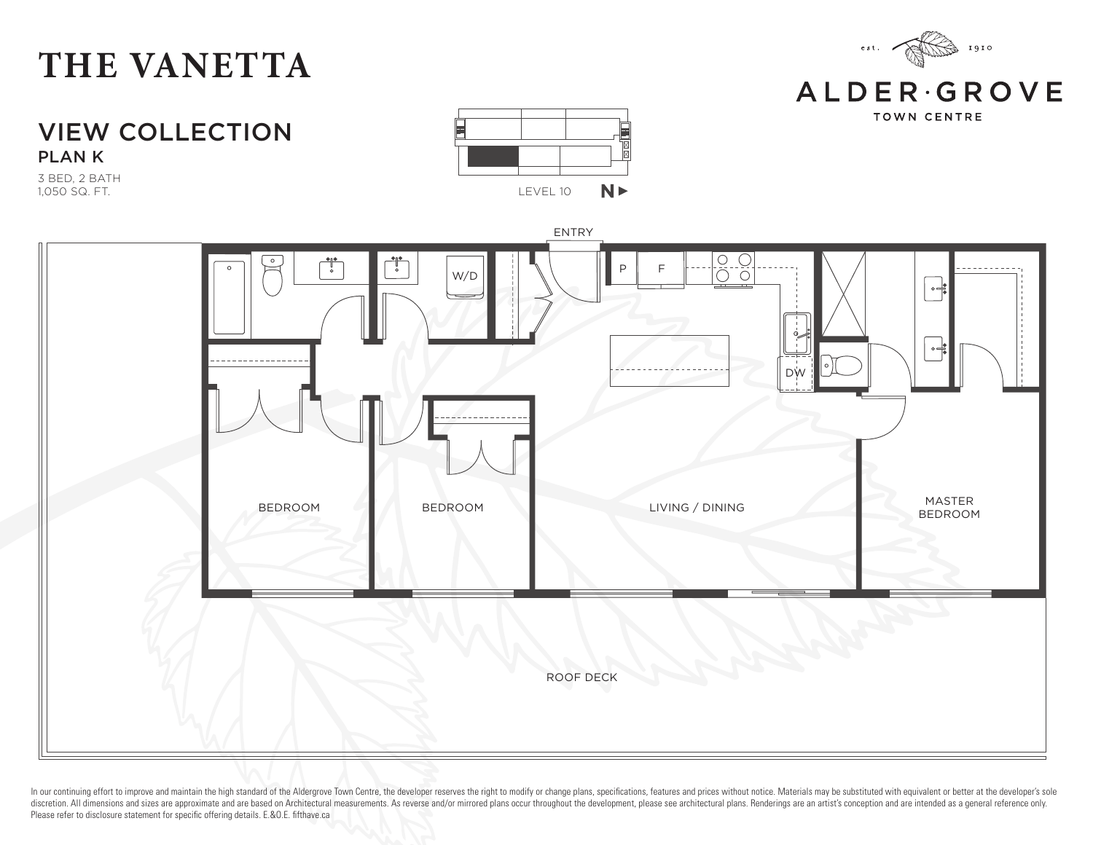

#### **ALDER**GROVE

**TOWN CENTRE** 

VIEW COLLECTION PLAN K

3 BED, 2 BATH 1,050 SQ. FT.



LEVEL 10

NX

 $N$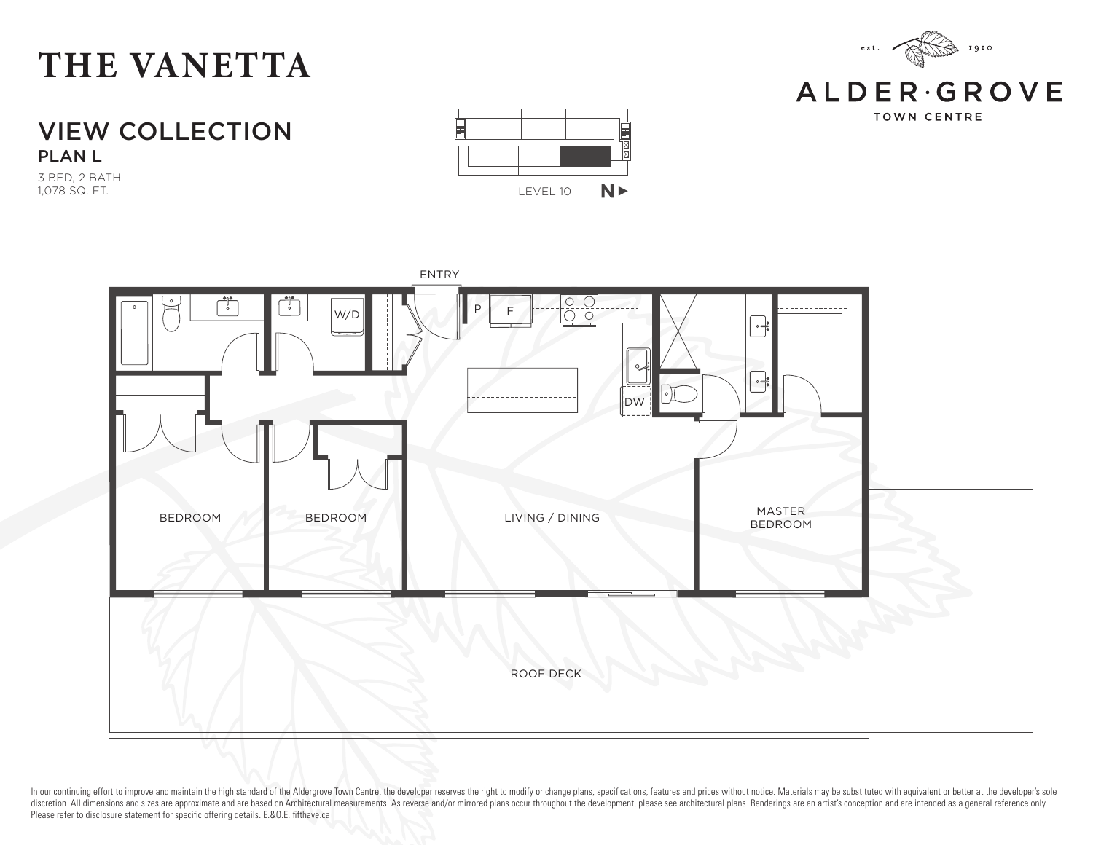

**ALDER**GROVE **TOWN CENTRE** 

VIEW COLLECTION PLAN L

3 BED, 2 BATH 1,078 SQ. FT.



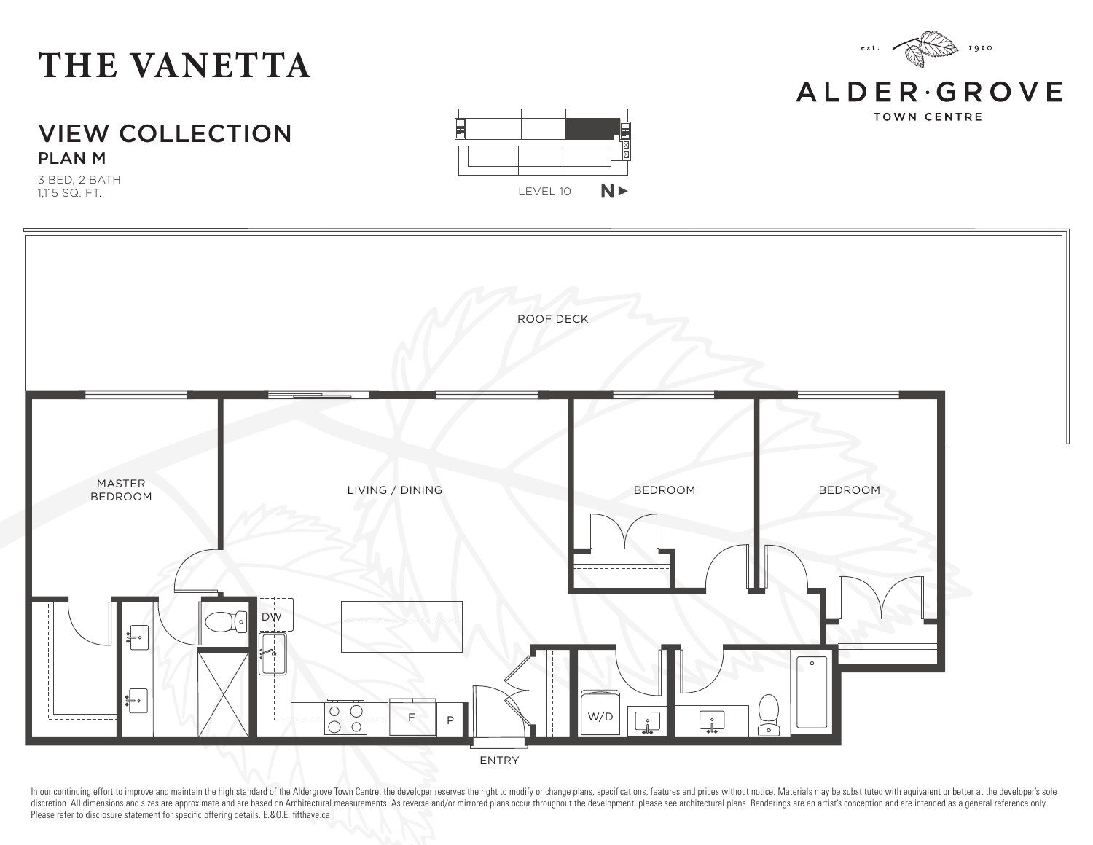#### VIEW COLLECTION PLAN M

3 BED, 2 BATH 1,115 SQ. FT.





In our continuing effort to improve and maintain the high standard of the Aldergrove Town Centre, the developer reserves the right to modify or change plans, specifications, features and prices without notice. Materials ma discretion. All dimensions and sizes are approximate and are based on Architectural measurements. As reverse and/or mirrored plans occur throughout the development, please see architectural plans. Renderings are an artist' Please refer to disclosure statement for specific offering details. E.&O.E. fifthave.ca



 $\,$ e s t $.$ 

1910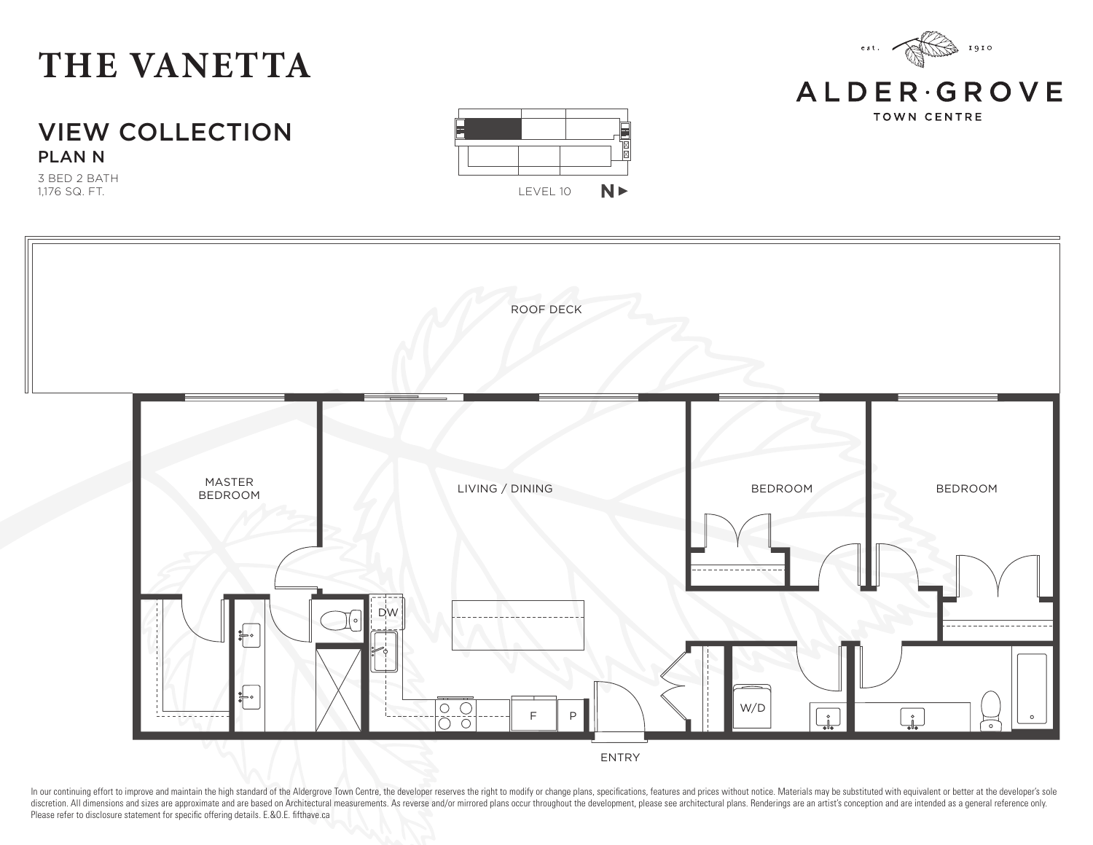

3 BED 2 BATH 1,176 SQ. FT.





ENTRY

In our continuing effort to improve and maintain the high standard of the Aldergrove Town Centre, the developer reserves the right to modify or change plans, specifications, features and prices without notice. Materials ma discretion. All dimensions and sizes are approximate and are based on Architectural measurements. As reverse and/or mirrored plans occur throughout the development, please see architectural plans. Renderings are an artist' Please refer to disclosure statement for specific offering details. E.&O.E. fifthave.ca



**ALDER**GROVE